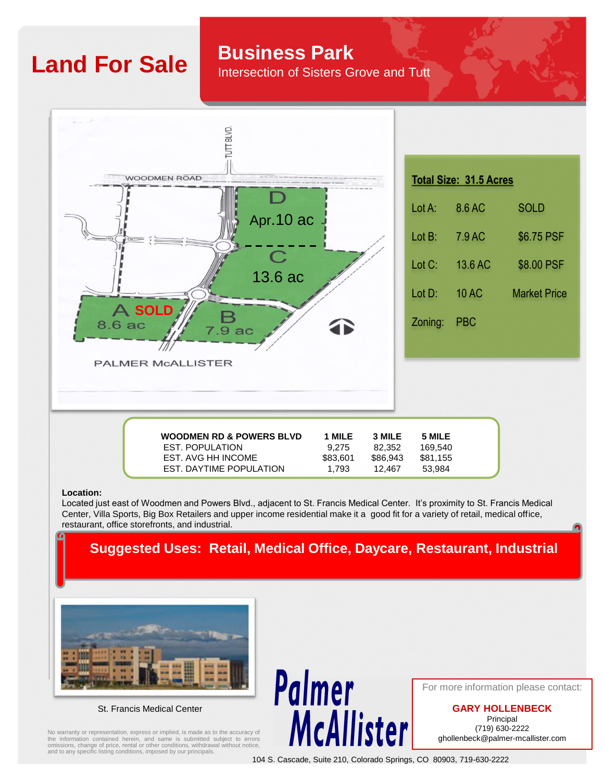# **Land For Sale Business Park**

Intersection of Sisters Grove and Tutt



### **Location:**

Located just east of Woodmen and Powers Blvd., adjacent to St. Francis Medical Center. It's proximity to St. Francis Medical Center, Villa Sports, Big Box Retailers and upper income residential make it a good fit for a variety of retail, medical office, restaurant, office storefronts, and industrial.

## **Suggested Uses: Retail, Medical Office, Daycare, Restaurant, Industrial**



St. Francis Medical Center

No warranty or representation, express or implied, is made as to the accuracy of the information contained herein, and same is submitted subject to errors omissions, change of price, rental or other conditions, withdrawal without notice, and to any specific listing conditions, imposed by our principals.

For more information please contact:

**GARY HOLLENBECK** Principal (719) 630-2222 ghollenbeck@palmer-mcallister.com